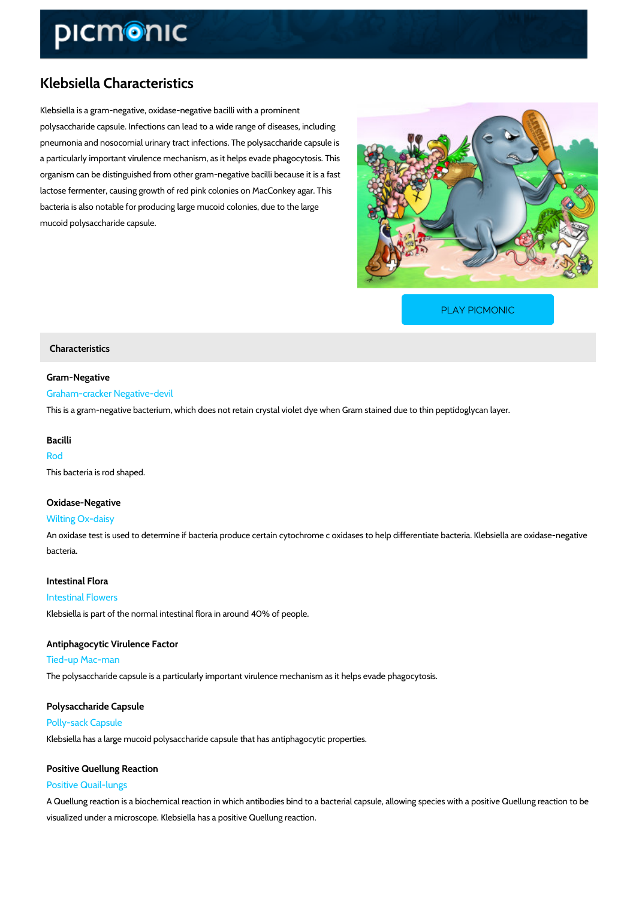# Klebsiella Characteristics

Klebsiella is a gram-negative, oxidase-negative bacilli with a prominent polysaccharide capsule. Infections can lead to a wide range of diseases, including pneumonia and nosocomial urinary tract infections. The polysaccharide capsule is a particularly important virulence mechanism, as it helps evade phagocytosis. This organism can be distinguished from other gram-negative bacilli because it is a fast lactose fermenter, causing growth of red pink colonies on MacConkey agar. This bacteria is also notable for producing large mucoid colonies, due to the large mucoid polysaccharide capsule.

[PLAY PICMONIC](https://www.picmonic.com/learn/klebsiella-characteristics_318?utm_source=downloadable_content&utm_medium=distributedcontent&utm_campaign=pathways_pdf&utm_content=Klebsiella Characteristics&utm_ad_group=leads&utm_market=all)

### Characteristics

Gram-Negative Graham-cracker Negative-devil This is a gram-negative bacterium, which does not retain crystal violet dye when Gram stained

## Bacilli Rod This bacteria is rod shaped.

### Oxidase-Negative

Wilting Ox-daisy

An oxidase test is used to determine if bacteria produce certain cytochrome c oxidases to hel bacteria.

#### Intestinal Flora

#### Intestinal Flowers

Klebsiella is part of the normal intestinal flora in around 40% of people.

Antiphagocytic Virulence Factor Tied-up Mac-man The polysaccharide capsule is a particularly important virulence mechanism as it helps evade

# Polysaccharide Capsule

Polly-sack Capsule

Klebsiella has a large mucoid polysaccharide capsule that has antiphagocytic properties.

## Positive Quellung Reaction Positive Quail-lungs

A Quellung reaction is a biochemical reaction in which antibodies bind to a bacterial capsule, visualized under a microscope. Klebsiella has a positive Quellung reaction.